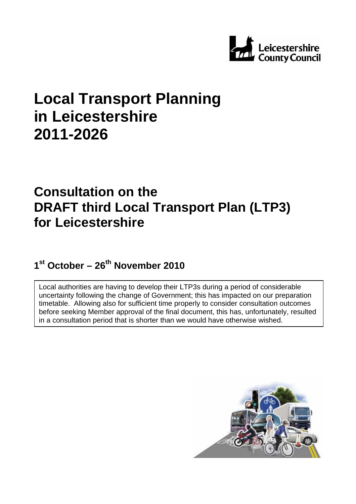

# **Local Transport Planning in Leicestershire 2011-2026**

# **Consultation on the DRAFT third Local Transport Plan (LTP3) for Leicestershire**

1<sup>st</sup> October – 26<sup>th</sup> November 2010

Local authorities are having to develop their LTP3s during a period of considerable uncertainty following the change of Government; this has impacted on our preparation timetable. Allowing also for sufficient time properly to consider consultation outcomes before seeking Member approval of the final document, this has, unfortunately, resulted in a consultation period that is shorter than we would have otherwise wished.

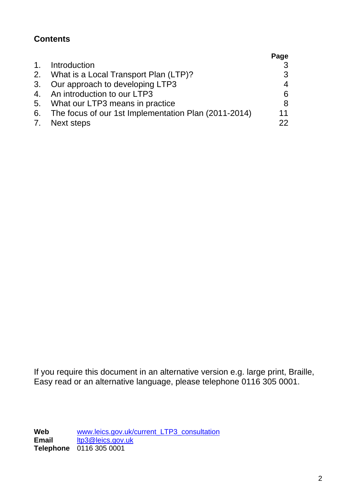# **Contents**

|                                                         | Page |
|---------------------------------------------------------|------|
| 1. Introduction                                         |      |
| 2. What is a Local Transport Plan (LTP)?                | 3    |
| 3. Our approach to developing LTP3                      | 4    |
| 4. An introduction to our LTP3                          | 6    |
| 5. What our LTP3 means in practice                      | 8    |
| 6. The focus of our 1st Implementation Plan (2011-2014) | 11   |
| 7. Next steps                                           | つつ   |

If you require this document in an alternative version e.g. large print, Braille, Easy read or an alternative language, please telephone 0116 305 0001.

Web **[www.leics.gov.uk/current\\_LTP3\\_consultation](http://www.leics.gov.uk/current_LTP3_consultation) Email** [ltp3@leics.gov.uk](mailto:ltp3@leics.gov.uk) **Telephone** 0116 305 0001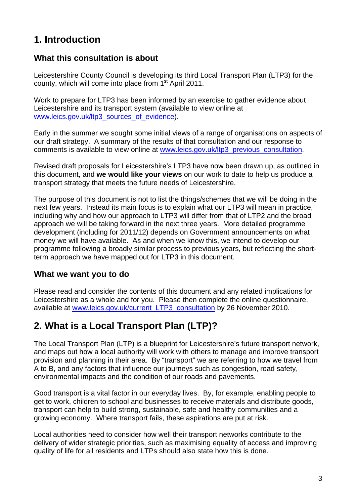# **1. Introduction**

### **What this consultation is about**

Leicestershire County Council is developing its third Local Transport Plan (LTP3) for the county, which will come into place from 1<sup>st</sup> April 2011.

Work to prepare for LTP3 has been informed by an exercise to gather evidence about Leicestershire and its transport system (available to view online at [www.leics.gov.uk/ltp3\\_sources\\_of\\_evidence](http://www.leics.gov.uk/ltp3_sources_of_evidence)).

Early in the summer we sought some initial views of a range of organisations on aspects of our draft strategy. A summary of the results of that consultation and our response to comments is available to view online at [www.leics.gov.uk/ltp3\\_previous\\_consultation.](http://www.leics.gov.uk/ltp3_previous_consultation)

Revised draft proposals for Leicestershire's LTP3 have now been drawn up, as outlined in this document, and **we would like your views** on our work to date to help us produce a transport strategy that meets the future needs of Leicestershire.

The purpose of this document is not to list the things/schemes that we will be doing in the next few years. Instead its main focus is to explain what our LTP3 will mean in practice, including why and how our approach to LTP3 will differ from that of LTP2 and the broad approach we will be taking forward in the next three years. More detailed programme development (including for 2011/12) depends on Government announcements on what money we will have available. As and when we know this, we intend to develop our programme following a broadly similar process to previous years, but reflecting the shortterm approach we have mapped out for LTP3 in this document.

### **What we want you to do**

Please read and consider the contents of this document and any related implications for Leicestershire as a whole and for you. Please then complete the online questionnaire, available at [www.leics.gov.uk/current\\_LTP3\\_consultation](http://www.leics.gov.uk/current_LTP3_consultation) by 26 November 2010.

# **2. What is a Local Transport Plan (LTP)?**

The Local Transport Plan (LTP) is a blueprint for Leicestershire's future transport network, and maps out how a local authority will work with others to manage and improve transport provision and planning in their area. By "transport" we are referring to how we travel from A to B, and any factors that influence our journeys such as congestion, road safety, environmental impacts and the condition of our roads and pavements.

Good transport is a vital factor in our everyday lives. By, for example, enabling people to get to work, children to school and businesses to receive materials and distribute goods, transport can help to build strong, sustainable, safe and healthy communities and a growing economy. Where transport fails, these aspirations are put at risk.

Local authorities need to consider how well their transport networks contribute to the delivery of wider strategic priorities, such as maximising equality of access and improving quality of life for all residents and LTPs should also state how this is done.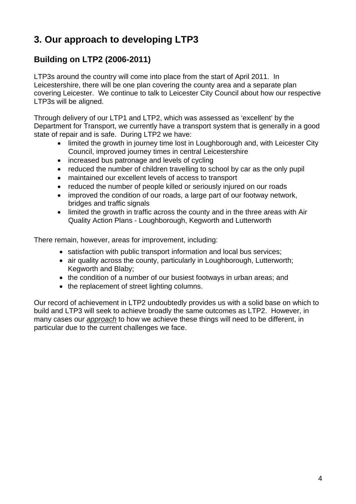# **3. Our approach to developing LTP3**

# **Building on LTP2 (2006-2011)**

LTP3s around the country will come into place from the start of April 2011. In Leicestershire, there will be one plan covering the county area and a separate plan covering Leicester. We continue to talk to Leicester City Council about how our respective LTP3s will be aligned.

Through delivery of our LTP1 and LTP2, which was assessed as 'excellent' by the Department for Transport, we currently have a transport system that is generally in a good state of repair and is safe. During LTP2 we have:

- limited the growth in journey time lost in Loughborough and, with Leicester City Council, improved journey times in central Leicestershire
- increased bus patronage and levels of cycling
- reduced the number of children travelling to school by car as the only pupil
- maintained our excellent levels of access to transport
- reduced the number of people killed or seriously injured on our roads
- improved the condition of our roads, a large part of our footway network, bridges and traffic signals
- limited the growth in traffic across the county and in the three areas with Air Quality Action Plans - Loughborough, Kegworth and Lutterworth

There remain, however, areas for improvement, including:

- satisfaction with public transport information and local bus services:
- air quality across the county, particularly in Loughborough, Lutterworth; Kegworth and Blaby;
- the condition of a number of our busiest footways in urban areas; and
- the replacement of street lighting columns.

Our record of achievement in LTP2 undoubtedly provides us with a solid base on which to build and LTP3 will seek to achieve broadly the same outcomes as LTP2. However, in many cases our *approach* to how we achieve these things will need to be different, in particular due to the current challenges we face.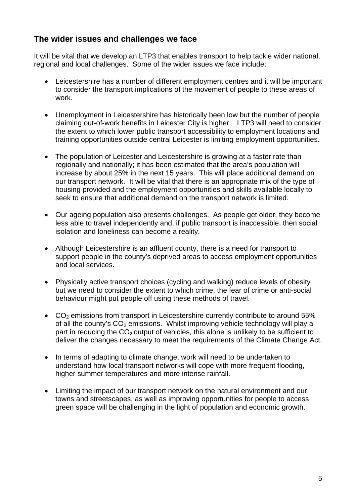# **The wider issues and challenges we face**

It will be vital that we develop an LTP3 that enables transport to help tackle wider national, regional and local challenges. Some of the wider issues we face include:

- Leicestershire has a number of different employment centres and it will be important to consider the transport implications of the movement of people to these areas of work.
- Unemployment in Leicestershire has historically been low but the number of people claiming out-of-work benefits in Leicester City is higher. LTP3 will need to consider the extent to which lower public transport accessibility to employment locations and training opportunities outside central Leicester is limiting employment opportunities.
- The population of Leicester and Leicestershire is growing at a faster rate than regionally and nationally; it has been estimated that the area's population will increase by about 25% in the next 15 years. This will place additional demand on our transport network. It will be vital that there is an appropriate mix of the type of housing provided and the employment opportunities and skills available locally to seek to ensure that additional demand on the transport network is limited.
- Our ageing population also presents challenges. As people get older, they become less able to travel independently and, if public transport is inaccessible, then social isolation and loneliness can become a reality.
- Although Leicestershire is an affluent county, there is a need for transport to support people in the county's deprived areas to access employment opportunities and local services.
- Physically active transport choices (cycling and walking) reduce levels of obesity but we need to consider the extent to which crime, the fear of crime or anti-social behaviour might put people off using these methods of travel.
- $CO<sub>2</sub>$  emissions from transport in Leicestershire currently contribute to around 55% of all the county's  $CO<sub>2</sub>$  emissions. Whilst improving vehicle technology will play a part in reducing the  $CO<sub>2</sub>$  output of vehicles, this alone is unlikely to be sufficient to deliver the changes necessary to meet the requirements of the Climate Change Act.
- In terms of adapting to climate change, work will need to be undertaken to understand how local transport networks will cope with more frequent flooding, higher summer temperatures and more intense rainfall.
- Limiting the impact of our transport network on the natural environment and our towns and streetscapes, as well as improving opportunities for people to access green space will be challenging in the light of population and economic growth.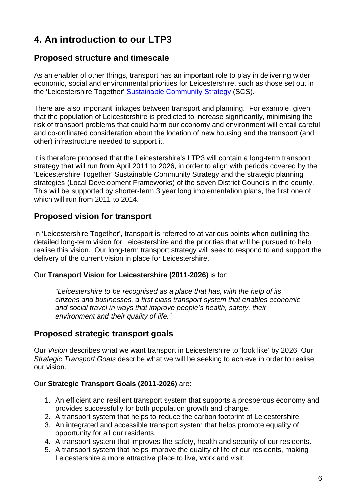# **4. An introduction to our LTP3**

### **Proposed structure and timescale**

As an enabler of other things, transport has an important role to play in delivering wider economic, social and environmental priorities for Leicestershire, such as those set out in the 'Leicestershire Together' [Sustainable Community Strategy](http://www.leicestershiretogether.org/index/strategy_and_delivery-2/leicestershires_community_strategy.htm) (SCS).

There are also important linkages between transport and planning. For example, given that the population of Leicestershire is predicted to increase significantly, minimising the risk of transport problems that could harm our economy and environment will entail careful and co-ordinated consideration about the location of new housing and the transport (and other) infrastructure needed to support it.

It is therefore proposed that the Leicestershire's LTP3 will contain a long-term transport strategy that will run from April 2011 to 2026, in order to align with periods covered by the 'Leicestershire Together' Sustainable Community Strategy and the strategic planning strategies (Local Development Frameworks) of the seven District Councils in the county. This will be supported by shorter-term 3 year long implementation plans, the first one of which will run from 2011 to 2014.

# **Proposed vision for transport**

In 'Leicestershire Together', transport is referred to at various points when outlining the detailed long-term vision for Leicestershire and the priorities that will be pursued to help realise this vision. Our long-term transport strategy will seek to respond to and support the delivery of the current vision in place for Leicestershire.

#### Our **Transport Vision for Leicestershire (2011-2026)** is for:

*"Leicestershire to be recognised as a place that has, with the help of its citizens and businesses, a first class transport system that enables economic and social travel in ways that improve people's health, safety, their environment and their quality of life."* 

### **Proposed strategic transport goals**

Our *Vision* describes what we want transport in Leicestershire to 'look like' by 2026. Our *Strategic Transport Goals* describe what we will be seeking to achieve in order to realise our vision.

#### Our **Strategic Transport Goals (2011-2026)** are:

- 1. An efficient and resilient transport system that supports a prosperous economy and provides successfully for both population growth and change.
- 2. A transport system that helps to reduce the carbon footprint of Leicestershire.
- 3. An integrated and accessible transport system that helps promote equality of opportunity for all our residents.
- 4. A transport system that improves the safety, health and security of our residents.
- 5. A transport system that helps improve the quality of life of our residents, making Leicestershire a more attractive place to live, work and visit.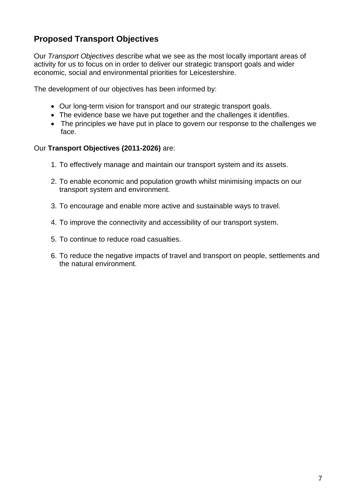# **Proposed Transport Objectives**

Our *Transport Objectives* describe what we see as the most locally important areas of activity for us to focus on in order to deliver our strategic transport goals and wider economic, social and environmental priorities for Leicestershire.

The development of our objectives has been informed by:

- Our long-term vision for transport and our strategic transport goals.
- The evidence base we have put together and the challenges it identifies.
- The principles we have put in place to govern our response to the challenges we face.

#### Our **Transport Objectives (2011-2026)** are:

- 1. To effectively manage and maintain our transport system and its assets.
- 2. To enable economic and population growth whilst minimising impacts on our transport system and environment.
- 3. To encourage and enable more active and sustainable ways to travel.
- 4. To improve the connectivity and accessibility of our transport system.
- 5. To continue to reduce road casualties.
- 6. To reduce the negative impacts of travel and transport on people, settlements and the natural environment.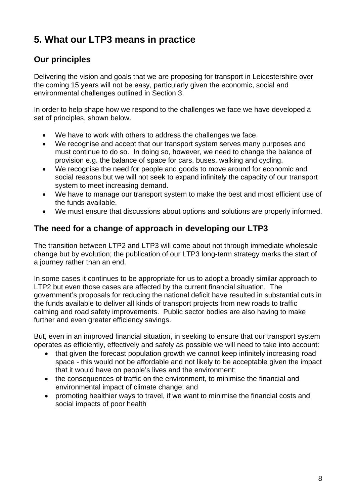# **5. What our LTP3 means in practice**

# **Our principles**

Delivering the vision and goals that we are proposing for transport in Leicestershire over the coming 15 years will not be easy, particularly given the economic, social and environmental challenges outlined in Section 3.

In order to help shape how we respond to the challenges we face we have developed a set of principles, shown below.

- We have to work with others to address the challenges we face.
- We recognise and accept that our transport system serves many purposes and must continue to do so. In doing so, however, we need to change the balance of provision e.g. the balance of space for cars, buses, walking and cycling.
- We recognise the need for people and goods to move around for economic and social reasons but we will not seek to expand infinitely the capacity of our transport system to meet increasing demand.
- We have to manage our transport system to make the best and most efficient use of the funds available.
- We must ensure that discussions about options and solutions are properly informed.

# **The need for a change of approach in developing our LTP3**

The transition between LTP2 and LTP3 will come about not through immediate wholesale change but by evolution; the publication of our LTP3 long-term strategy marks the start of a journey rather than an end.

In some cases it continues to be appropriate for us to adopt a broadly similar approach to LTP2 but even those cases are affected by the current financial situation. The government's proposals for reducing the national deficit have resulted in substantial cuts in the funds available to deliver all kinds of transport projects from new roads to traffic calming and road safety improvements. Public sector bodies are also having to make further and even greater efficiency savings.

But, even in an improved financial situation, in seeking to ensure that our transport system operates as efficiently, effectively and safely as possible we will need to take into account:

- that given the forecast population growth we cannot keep infinitely increasing road space - this would not be affordable and not likely to be acceptable given the impact that it would have on people's lives and the environment;
- the consequences of traffic on the environment, to minimise the financial and environmental impact of climate change; and
- promoting healthier ways to travel, if we want to minimise the financial costs and social impacts of poor health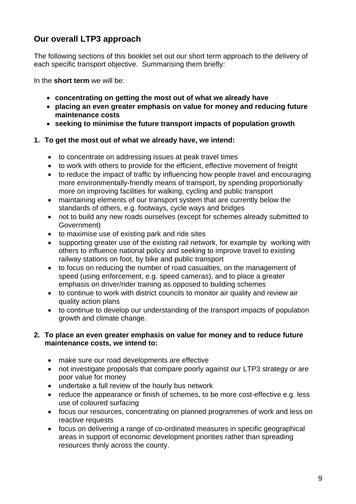# **Our overall LTP3 approach**

The following sections of this booklet set out our short term approach to the delivery of each specific transport objective. Summarising them briefly:

In the **short term** we will be:

- **concentrating on getting the most out of what we already have**
- **placing an even greater emphasis on value for money and reducing future maintenance costs**
- **seeking to minimise the future transport impacts of population growth**

#### **1. To get the most out of what we already have, we intend:**

- to concentrate on addressing issues at peak travel times
- to work with others to provide for the efficient, effective movement of freight
- to reduce the impact of traffic by influencing how people travel and encouraging more environmentally-friendly means of transport, by spending proportionally more on improving facilities for walking, cycling and public transport
- maintaining elements of our transport system that are currently below the standards of others, e.g. footways, cycle ways and bridges
- not to build any new roads ourselves (except for schemes already submitted to Government)
- to maximise use of existing park and ride sites
- supporting greater use of the existing rail network, for example by working with others to influence national policy and seeking to improve travel to existing railway stations on foot, by bike and public transport
- to focus on reducing the number of road casualties, on the management of speed (using enforcement, e.g. speed cameras), and to place a greater emphasis on driver/rider training as opposed to building schemes
- to continue to work with district councils to monitor air quality and review air quality action plans
- to continue to develop our understanding of the transport impacts of population growth and climate change.

#### **2. To place an even greater emphasis on value for money and to reduce future maintenance costs, we intend to:**

- make sure our road developments are effective
- not investigate proposals that compare poorly against our LTP3 strategy or are poor value for money
- undertake a full review of the hourly bus network
- reduce the appearance or finish of schemes, to be more cost-effective e.g. less use of coloured surfacing
- focus our resources, concentrating on planned programmes of work and less on reactive requests
- focus on delivering a range of co-ordinated measures in specific geographical areas in support of economic development priorities rather than spreading resources thinly across the county.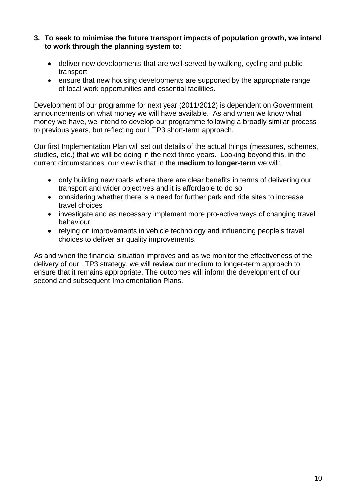- **3. To seek to minimise the future transport impacts of population growth, we intend to work through the planning system to:** 
	- deliver new developments that are well-served by walking, cycling and public transport
	- ensure that new housing developments are supported by the appropriate range of local work opportunities and essential facilities.

Development of our programme for next year (2011/2012) is dependent on Government announcements on what money we will have available. As and when we know what money we have, we intend to develop our programme following a broadly similar process to previous years, but reflecting our LTP3 short-term approach.

Our first Implementation Plan will set out details of the actual things (measures, schemes, studies, etc.) that we will be doing in the next three years. Looking beyond this, in the current circumstances, our view is that in the **medium to longer-term** we will:

- only building new roads where there are clear benefits in terms of delivering our transport and wider objectives and it is affordable to do so
- considering whether there is a need for further park and ride sites to increase travel choices
- investigate and as necessary implement more pro-active ways of changing travel behaviour
- relying on improvements in vehicle technology and influencing people's travel choices to deliver air quality improvements.

As and when the financial situation improves and as we monitor the effectiveness of the delivery of our LTP3 strategy, we will review our medium to longer-term approach to ensure that it remains appropriate. The outcomes will inform the development of our second and subsequent Implementation Plans.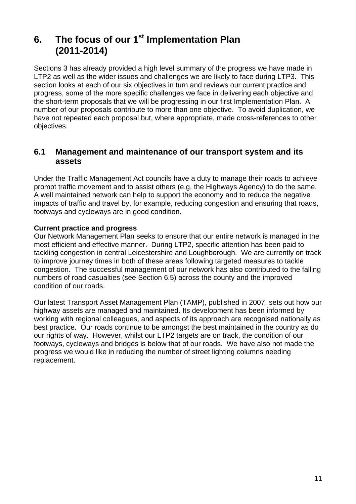# **6.** The focus of our 1<sup>st</sup> Implementation Plan **(2011-2014)**

Sections 3 has already provided a high level summary of the progress we have made in LTP2 as well as the wider issues and challenges we are likely to face during LTP3. This section looks at each of our six objectives in turn and reviews our current practice and progress, some of the more specific challenges we face in delivering each objective and the short-term proposals that we will be progressing in our first Implementation Plan. A number of our proposals contribute to more than one objective. To avoid duplication, we have not repeated each proposal but, where appropriate, made cross-references to other objectives.

### **6.1 Management and maintenance of our transport system and its assets**

Under the Traffic Management Act councils have a duty to manage their roads to achieve prompt traffic movement and to assist others (e.g. the Highways Agency) to do the same. A well maintained network can help to support the economy and to reduce the negative impacts of traffic and travel by, for example, reducing congestion and ensuring that roads, footways and cycleways are in good condition.

#### **Current practice and progress**

Our Network Management Plan seeks to ensure that our entire network is managed in the most efficient and effective manner. During LTP2, specific attention has been paid to tackling congestion in central Leicestershire and Loughborough. We are currently on track to improve journey times in both of these areas following targeted measures to tackle congestion. The successful management of our network has also contributed to the falling numbers of road casualties (see Section 6.5) across the county and the improved condition of our roads.

Our latest Transport Asset Management Plan (TAMP), published in 2007, sets out how our highway assets are managed and maintained. Its development has been informed by working with regional colleagues, and aspects of its approach are recognised nationally as best practice. Our roads continue to be amongst the best maintained in the country as do our rights of way. However, whilst our LTP2 targets are on track, the condition of our footways, cycleways and bridges is below that of our roads. We have also not made the progress we would like in reducing the number of street lighting columns needing replacement.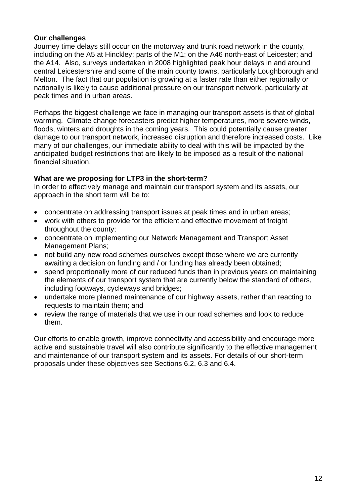#### **Our challenges**

Journey time delays still occur on the motorway and trunk road network in the county, including on the A5 at Hinckley; parts of the M1; on the A46 north-east of Leicester; and the A14. Also, surveys undertaken in 2008 highlighted peak hour delays in and around central Leicestershire and some of the main county towns, particularly Loughborough and Melton. The fact that our population is growing at a faster rate than either regionally or nationally is likely to cause additional pressure on our transport network, particularly at peak times and in urban areas.

Perhaps the biggest challenge we face in managing our transport assets is that of global warming. Climate change forecasters predict higher temperatures, more severe winds, floods, winters and droughts in the coming years. This could potentially cause greater damage to our transport network, increased disruption and therefore increased costs. Like many of our challenges, our immediate ability to deal with this will be impacted by the anticipated budget restrictions that are likely to be imposed as a result of the national financial situation.

#### **What are we proposing for LTP3 in the short-term?**

In order to effectively manage and maintain our transport system and its assets, our approach in the short term will be to:

- concentrate on addressing transport issues at peak times and in urban areas;
- work with others to provide for the efficient and effective movement of freight throughout the county;
- concentrate on implementing our Network Management and Transport Asset Management Plans;
- not build any new road schemes ourselves except those where we are currently awaiting a decision on funding and / or funding has already been obtained;
- spend proportionally more of our reduced funds than in previous years on maintaining the elements of our transport system that are currently below the standard of others, including footways, cycleways and bridges;
- undertake more planned maintenance of our highway assets, rather than reacting to requests to maintain them; and
- review the range of materials that we use in our road schemes and look to reduce them.

Our efforts to enable growth, improve connectivity and accessibility and encourage more active and sustainable travel will also contribute significantly to the effective management and maintenance of our transport system and its assets. For details of our short-term proposals under these objectives see Sections 6.2, 6.3 and 6.4.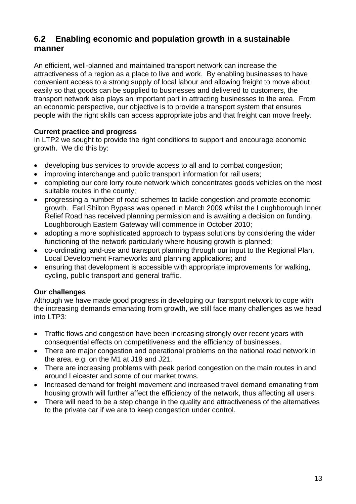# **6.2 Enabling economic and population growth in a sustainable manner**

An efficient, well-planned and maintained transport network can increase the attractiveness of a region as a place to live and work. By enabling businesses to have convenient access to a strong supply of local labour and allowing freight to move about easily so that goods can be supplied to businesses and delivered to customers, the transport network also plays an important part in attracting businesses to the area. From an economic perspective, our objective is to provide a transport system that ensures people with the right skills can access appropriate jobs and that freight can move freely.

#### **Current practice and progress**

In LTP2 we sought to provide the right conditions to support and encourage economic growth. We did this by:

- developing bus services to provide access to all and to combat congestion;
- improving interchange and public transport information for rail users;
- completing our core lorry route network which concentrates goods vehicles on the most suitable routes in the county;
- progressing a number of road schemes to tackle congestion and promote economic growth. Earl Shilton Bypass was opened in March 2009 whilst the Loughborough Inner Relief Road has received planning permission and is awaiting a decision on funding. Loughborough Eastern Gateway will commence in October 2010;
- adopting a more sophisticated approach to bypass solutions by considering the wider functioning of the network particularly where housing growth is planned;
- co-ordinating land-use and transport planning through our input to the Regional Plan, Local Development Frameworks and planning applications; and
- ensuring that development is accessible with appropriate improvements for walking, cycling, public transport and general traffic.

#### **Our challenges**

Although we have made good progress in developing our transport network to cope with the increasing demands emanating from growth, we still face many challenges as we head into LTP3:

- Traffic flows and congestion have been increasing strongly over recent years with consequential effects on competitiveness and the efficiency of businesses.
- There are major congestion and operational problems on the national road network in the area, e.g. on the M1 at J19 and J21.
- There are increasing problems with peak period congestion on the main routes in and around Leicester and some of our market towns.
- Increased demand for freight movement and increased travel demand emanating from housing growth will further affect the efficiency of the network, thus affecting all users.
- There will need to be a step change in the quality and attractiveness of the alternatives to the private car if we are to keep congestion under control.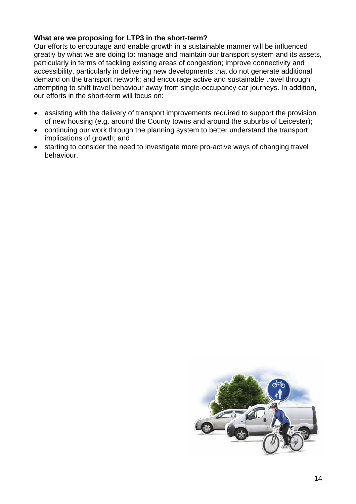#### **What are we proposing for LTP3 in the short-term?**

Our efforts to encourage and enable growth in a sustainable manner will be influenced greatly by what we are doing to: manage and maintain our transport system and its assets, particularly in terms of tackling existing areas of congestion; improve connectivity and accessibility, particularly in delivering new developments that do not generate additional demand on the transport network; and encourage active and sustainable travel through attempting to shift travel behaviour away from single-occupancy car journeys. In addition, our efforts in the short-term will focus on:

- assisting with the delivery of transport improvements required to support the provision of new housing (e.g. around the County towns and around the suburbs of Leicester);
- continuing our work through the planning system to better understand the transport implications of growth; and
- starting to consider the need to investigate more pro-active ways of changing travel behaviour.

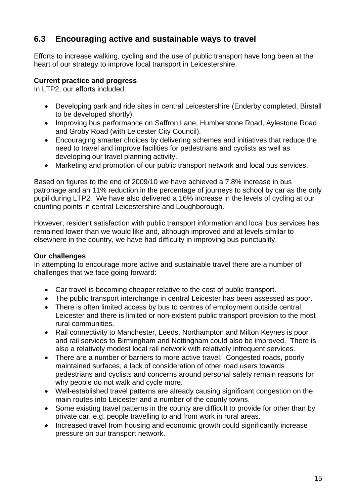# **6.3 Encouraging active and sustainable ways to travel**

Efforts to increase walking, cycling and the use of public transport have long been at the heart of our strategy to improve local transport in Leicestershire.

#### **Current practice and progress**

In LTP2, our efforts included:

- Developing park and ride sites in central Leicestershire (Enderby completed, Birstall to be developed shortly).
- Improving bus performance on Saffron Lane, Humberstone Road, Aylestone Road and Groby Road (with Leicester City Council).
- Encouraging smarter choices by delivering schemes and initiatives that reduce the need to travel and improve facilities for pedestrians and cyclists as well as developing our travel planning activity.
- Marketing and promotion of our public transport network and local bus services.

Based on figures to the end of 2009/10 we have achieved a 7.8% increase in bus patronage and an 11% reduction in the percentage of journeys to school by car as the only pupil during LTP2. We have also delivered a 16% increase in the levels of cycling at our counting points in central Leicestershire and Loughborough.

However, resident satisfaction with public transport information and local bus services has remained lower than we would like and, although improved and at levels similar to elsewhere in the country, we have had difficulty in improving bus punctuality.

#### **Our challenges**

In attempting to encourage more active and sustainable travel there are a number of challenges that we face going forward:

- Car travel is becoming cheaper relative to the cost of public transport.
- The public transport interchange in central Leicester has been assessed as poor.
- There is often limited access by bus to centres of employment outside central Leicester and there is limited or non-existent public transport provision to the most rural communities.
- Rail connectivity to Manchester, Leeds, Northampton and Milton Keynes is poor and rail services to Birmingham and Nottingham could also be improved. There is also a relatively modest local rail network with relatively infrequent services.
- There are a number of barriers to more active travel. Congested roads, poorly maintained surfaces, a lack of consideration of other road users towards pedestrians and cyclists and concerns around personal safety remain reasons for why people do not walk and cycle more.
- Well-established travel patterns are already causing significant congestion on the main routes into Leicester and a number of the county towns.
- Some existing travel patterns in the county are difficult to provide for other than by private car, e.g. people travelling to and from work in rural areas.
- Increased travel from housing and economic growth could significantly increase pressure on our transport network.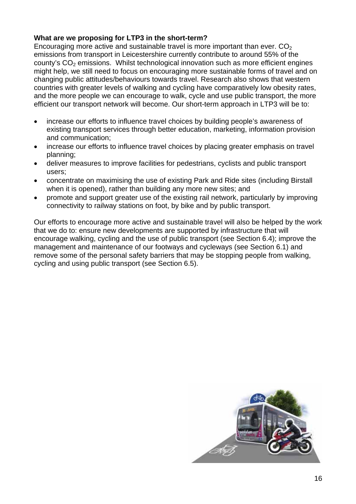#### **What are we proposing for LTP3 in the short-term?**

Encouraging more active and sustainable travel is more important than ever.  $CO<sub>2</sub>$ emissions from transport in Leicestershire currently contribute to around 55% of the county's CO<sub>2</sub> emissions. Whilst technological innovation such as more efficient engines might help, we still need to focus on encouraging more sustainable forms of travel and on changing public attitudes/behaviours towards travel. Research also shows that western countries with greater levels of walking and cycling have comparatively low obesity rates, and the more people we can encourage to walk, cycle and use public transport, the more efficient our transport network will become. Our short-term approach in LTP3 will be to:

- increase our efforts to influence travel choices by building people's awareness of existing transport services through better education, marketing, information provision and communication;
- increase our efforts to influence travel choices by placing greater emphasis on travel planning;
- deliver measures to improve facilities for pedestrians, cyclists and public transport users;
- concentrate on maximising the use of existing Park and Ride sites (including Birstall when it is opened), rather than building any more new sites; and
- promote and support greater use of the existing rail network, particularly by improving connectivity to railway stations on foot, by bike and by public transport.

Our efforts to encourage more active and sustainable travel will also be helped by the work that we do to: ensure new developments are supported by infrastructure that will encourage walking, cycling and the use of public transport (see Section 6.4); improve the management and maintenance of our footways and cycleways (see Section 6.1) and remove some of the personal safety barriers that may be stopping people from walking, cycling and using public transport (see Section 6.5).

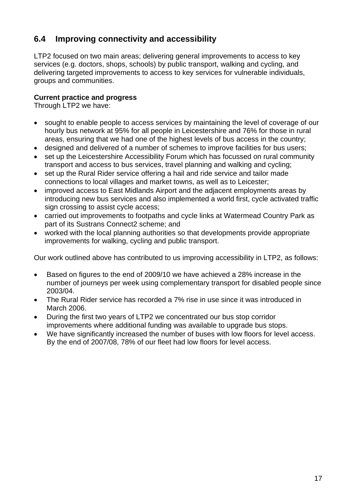# **6.4 Improving connectivity and accessibility**

LTP2 focused on two main areas; delivering general improvements to access to key services (e.g. doctors, shops, schools) by public transport, walking and cycling, and delivering targeted improvements to access to key services for vulnerable individuals, groups and communities.

#### **Current practice and progress**

Through LTP2 we have:

- sought to enable people to access services by maintaining the level of coverage of our hourly bus network at 95% for all people in Leicestershire and 76% for those in rural areas, ensuring that we had one of the highest levels of bus access in the country;
- designed and delivered of a number of schemes to improve facilities for bus users;
- set up the Leicestershire Accessibility Forum which has focussed on rural community transport and access to bus services, travel planning and walking and cycling;
- set up the Rural Rider service offering a hail and ride service and tailor made connections to local villages and market towns, as well as to Leicester;
- improved access to East Midlands Airport and the adjacent employments areas by introducing new bus services and also implemented a world first, cycle activated traffic sign crossing to assist cycle access;
- carried out improvements to footpaths and cycle links at Watermead Country Park as part of its Sustrans Connect2 scheme; and
- worked with the local planning authorities so that developments provide appropriate improvements for walking, cycling and public transport.

Our work outlined above has contributed to us improving accessibility in LTP2, as follows:

- Based on figures to the end of 2009/10 we have achieved a 28% increase in the number of journeys per week using complementary transport for disabled people since 2003/04.
- The Rural Rider service has recorded a 7% rise in use since it was introduced in March 2006.
- During the first two years of LTP2 we concentrated our bus stop corridor improvements where additional funding was available to upgrade bus stops.
- We have significantly increased the number of buses with low floors for level access. By the end of 2007/08, 78% of our fleet had low floors for level access.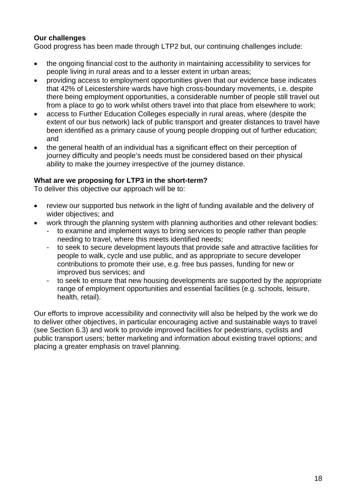#### **Our challenges**

Good progress has been made through LTP2 but, our continuing challenges include:

- the ongoing financial cost to the authority in maintaining accessibility to services for people living in rural areas and to a lesser extent in urban areas;
- providing access to employment opportunities given that our evidence base indicates that 42% of Leicestershire wards have high cross-boundary movements, i.e. despite there being employment opportunities, a considerable number of people still travel out from a place to go to work whilst others travel into that place from elsewhere to work;
- access to Further Education Colleges especially in rural areas, where (despite the extent of our bus network) lack of public transport and greater distances to travel have been identified as a primary cause of young people dropping out of further education; and
- the general health of an individual has a significant effect on their perception of journey difficulty and people's needs must be considered based on their physical ability to make the journey irrespective of the journey distance.

#### **What are we proposing for LTP3 in the short-term?**

To deliver this objective our approach will be to:

- review our supported bus network in the light of funding available and the delivery of wider objectives; and
- work through the planning system with planning authorities and other relevant bodies:
	- to examine and implement ways to bring services to people rather than people needing to travel, where this meets identified needs;
	- to seek to secure development layouts that provide safe and attractive facilities for people to walk, cycle and use public, and as appropriate to secure developer contributions to promote their use, e.g. free bus passes, funding for new or improved bus services; and
	- to seek to ensure that new housing developments are supported by the appropriate range of employment opportunities and essential facilities (e.g. schools, leisure, health, retail).

Our efforts to improve accessibility and connectivity will also be helped by the work we do to deliver other objectives, in particular encouraging active and sustainable ways to travel (see Section 6.3) and work to provide improved facilities for pedestrians, cyclists and public transport users; better marketing and information about existing travel options; and placing a greater emphasis on travel planning.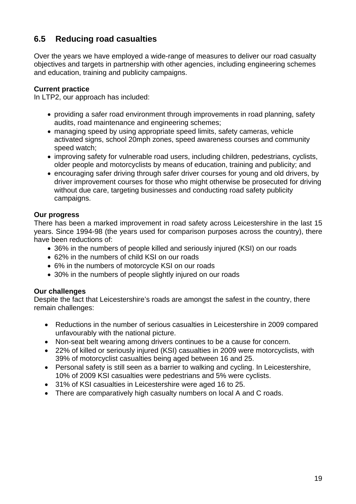# **6.5 Reducing road casualties**

Over the years we have employed a wide-range of measures to deliver our road casualty objectives and targets in partnership with other agencies, including engineering schemes and education, training and publicity campaigns.

#### **Current practice**

In LTP2, our approach has included:

- providing a safer road environment through improvements in road planning, safety audits, road maintenance and engineering schemes;
- managing speed by using appropriate speed limits, safety cameras, vehicle activated signs, school 20mph zones, speed awareness courses and community speed watch;
- improving safety for vulnerable road users, including children, pedestrians, cyclists, older people and motorcyclists by means of education, training and publicity; and
- encouraging safer driving through safer driver courses for young and old drivers, by driver improvement courses for those who might otherwise be prosecuted for driving without due care, targeting businesses and conducting road safety publicity campaigns.

#### **Our progress**

There has been a marked improvement in road safety across Leicestershire in the last 15 years. Since 1994-98 (the years used for comparison purposes across the country), there have been reductions of:

- 36% in the numbers of people killed and seriously injured (KSI) on our roads
- 62% in the numbers of child KSI on our roads
- 6% in the numbers of motorcycle KSI on our roads
- 30% in the numbers of people slightly injured on our roads

#### **Our challenges**

Despite the fact that Leicestershire's roads are amongst the safest in the country, there remain challenges:

- Reductions in the number of serious casualties in Leicestershire in 2009 compared unfavourably with the national picture.
- Non-seat belt wearing among drivers continues to be a cause for concern.
- 22% of killed or seriously injured (KSI) casualties in 2009 were motorcyclists, with 39% of motorcyclist casualties being aged between 16 and 25.
- Personal safety is still seen as a barrier to walking and cycling. In Leicestershire, 10% of 2009 KSI casualties were pedestrians and 5% were cyclists.
- 31% of KSI casualties in Leicestershire were aged 16 to 25.
- There are comparatively high casualty numbers on local A and C roads.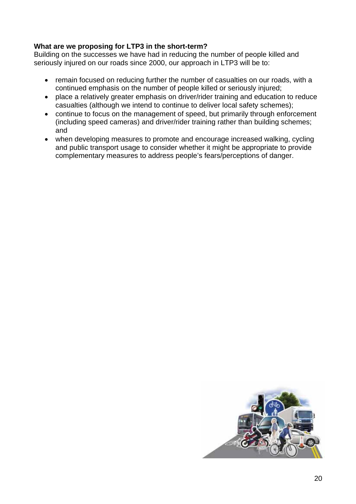#### **What are we proposing for LTP3 in the short-term?**

Building on the successes we have had in reducing the number of people killed and seriously injured on our roads since 2000, our approach in LTP3 will be to:

- remain focused on reducing further the number of casualties on our roads, with a continued emphasis on the number of people killed or seriously injured;
- place a relatively greater emphasis on driver/rider training and education to reduce casualties (although we intend to continue to deliver local safety schemes);
- continue to focus on the management of speed, but primarily through enforcement (including speed cameras) and driver/rider training rather than building schemes; and
- when developing measures to promote and encourage increased walking, cycling and public transport usage to consider whether it might be appropriate to provide complementary measures to address people's fears/perceptions of danger.

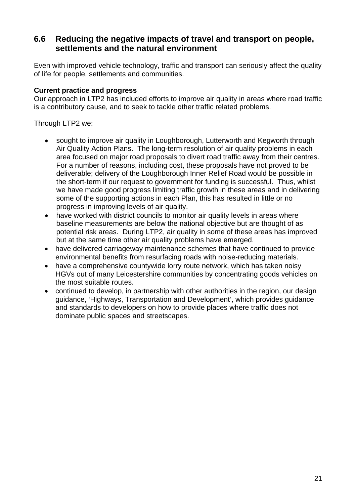### **6.6 Reducing the negative impacts of travel and transport on people, settlements and the natural environment**

Even with improved vehicle technology, traffic and transport can seriously affect the quality of life for people, settlements and communities.

#### **Current practice and progress**

Our approach in LTP2 has included efforts to improve air quality in areas where road traffic is a contributory cause, and to seek to tackle other traffic related problems.

Through LTP2 we:

- sought to improve air quality in Loughborough, Lutterworth and Kegworth through Air Quality Action Plans. The long-term resolution of air quality problems in each area focused on major road proposals to divert road traffic away from their centres. For a number of reasons, including cost, these proposals have not proved to be deliverable; delivery of the Loughborough Inner Relief Road would be possible in the short-term if our request to government for funding is successful. Thus, whilst we have made good progress limiting traffic growth in these areas and in delivering some of the supporting actions in each Plan, this has resulted in little or no progress in improving levels of air quality.
- have worked with district councils to monitor air quality levels in areas where baseline measurements are below the national objective but are thought of as potential risk areas. During LTP2, air quality in some of these areas has improved but at the same time other air quality problems have emerged.
- have delivered carriageway maintenance schemes that have continued to provide environmental benefits from resurfacing roads with noise-reducing materials.
- have a comprehensive countywide lorry route network, which has taken noisy HGVs out of many Leicestershire communities by concentrating goods vehicles on the most suitable routes.
- continued to develop, in partnership with other authorities in the region, our design guidance, 'Highways, Transportation and Development', which provides guidance and standards to developers on how to provide places where traffic does not dominate public spaces and streetscapes.